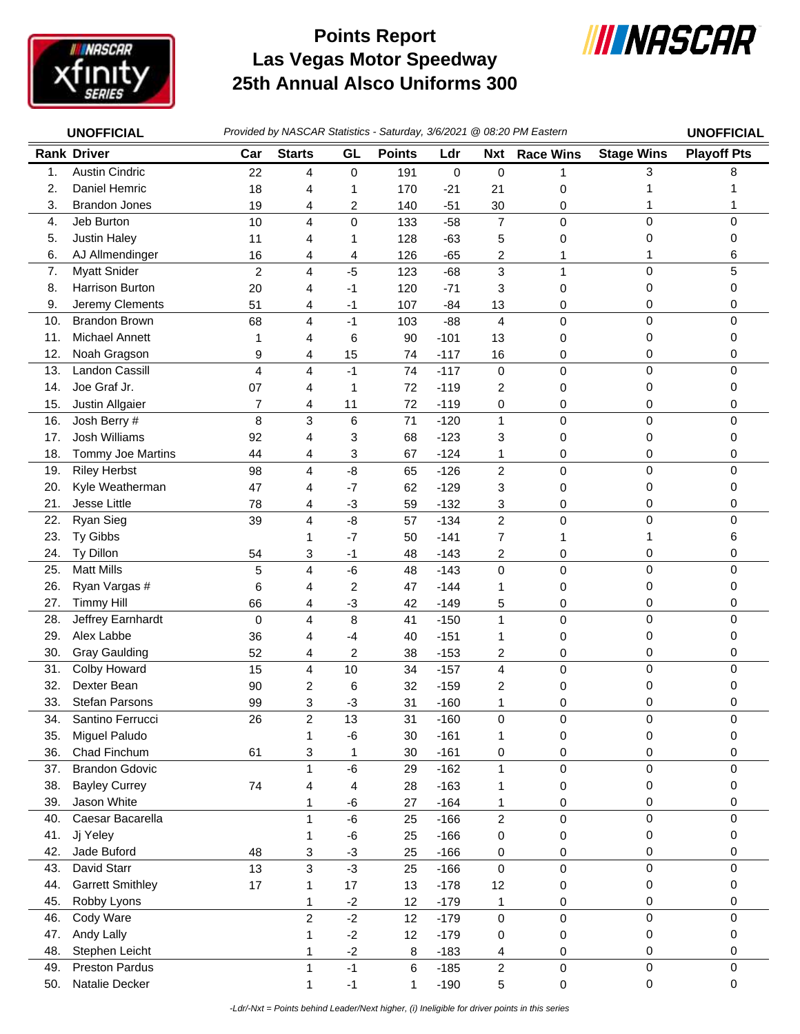

## **Las Vegas Motor Speedway 25th Annual Alsco Uniforms 300 Points Report**



| <b>UNOFFICIAL</b> |                                         |                | Provided by NASCAR Statistics - Saturday, 3/6/2021 @ 08:20 PM Eastern |                         |               |                  |                         |                  |                   |                    |
|-------------------|-----------------------------------------|----------------|-----------------------------------------------------------------------|-------------------------|---------------|------------------|-------------------------|------------------|-------------------|--------------------|
|                   | <b>Rank Driver</b>                      | Car            | <b>Starts</b>                                                         | GL                      | <b>Points</b> | Ldr              | <b>Nxt</b>              | <b>Race Wins</b> | <b>Stage Wins</b> | <b>Playoff Pts</b> |
| 1.                | <b>Austin Cindric</b>                   | 22             | 4                                                                     | $\pmb{0}$               | 191           | 0                | $\pmb{0}$               | 1                | 3                 | 8                  |
| 2.                | Daniel Hemric                           | 18             | 4                                                                     | 1                       | 170           | $-21$            | 21                      | 0                |                   |                    |
| 3.                | <b>Brandon Jones</b>                    | 19             | 4                                                                     | 2                       | 140           | $-51$            | 30                      | 0                |                   |                    |
| 4.                | Jeb Burton                              | 10             | 4                                                                     | $\mathbf 0$             | 133           | $-58$            | $\overline{7}$          | 0                | 0                 | 0                  |
| 5.                | Justin Haley                            | 11             | 4                                                                     | 1                       | 128           | $-63$            | 5                       | 0                | 0                 | 0                  |
| 6.                | AJ Allmendinger                         | 16             | 4                                                                     | 4                       | 126           | $-65$            | 2                       | 1                |                   | 6                  |
| 7.                | <b>Myatt Snider</b>                     | $\overline{c}$ | 4                                                                     | $-5$                    | 123           | $-68$            | 3                       | $\mathbf{1}$     | 0                 | 5                  |
| 8.                | Harrison Burton                         | 20             | 4                                                                     | -1                      | 120           | $-71$            | 3                       | 0                | 0                 | 0                  |
| 9.                | Jeremy Clements                         | 51             | 4                                                                     | -1                      | 107           | $-84$            | 13                      | 0                | 0                 | 0                  |
| 10.               | <b>Brandon Brown</b>                    | 68             | 4                                                                     | $-1$                    | 103           | $-88$            | 4                       | 0                | 0                 | 0                  |
| 11.               | Michael Annett                          | 1              | 4                                                                     | 6                       | 90            | $-101$           | 13                      | 0                | 0                 | 0                  |
| 12.               | Noah Gragson                            | 9              | 4                                                                     | 15                      | 74            | $-117$           | 16                      | 0                | 0                 | 0                  |
| 13.               | <b>Landon Cassill</b>                   | 4              | $\overline{\mathbf{4}}$                                               | $-1$                    | 74            | $-117$           | $\pmb{0}$               | $\mathsf 0$      | 0                 | 0                  |
| 14.               | Joe Graf Jr.                            | 07             | 4                                                                     | 1                       | 72            | $-119$           | 2                       | 0                | 0                 | 0                  |
| 15.               | Justin Allgaier                         | 7              | 4                                                                     | 11                      | 72            | $-119$           | 0                       | 0                | 0                 | 0                  |
| 16.               | Josh Berry #                            | 8              | 3                                                                     | $\,6$                   | 71            | $-120$           | 1                       | $\mathbf 0$      | 0                 | 0                  |
| 17.               | Josh Williams                           | 92             | 4                                                                     | 3                       | 68            | $-123$           | 3                       | 0                | 0                 | 0                  |
| 18.               | Tommy Joe Martins                       | 44             | 4                                                                     | 3                       | 67            | $-124$           | 1                       | 0                | 0                 | 0                  |
| 19.               | <b>Riley Herbst</b>                     | 98             | 4                                                                     | -8                      | 65            | $-126$           | $\overline{c}$          | 0                | 0                 | 0                  |
| 20.               | Kyle Weatherman                         | 47             | 4                                                                     | $-7$                    | 62            | $-129$           | 3                       | 0                | 0                 | 0                  |
| 21.               | Jesse Little                            | 78             | 4                                                                     | $-3$                    | 59            | $-132$           | 3                       | 0                | 0                 | 0                  |
| 22.               | Ryan Sieg                               | 39             | 4                                                                     | $-8$                    | 57            | $-134$           | $\overline{2}$          | $\mathsf 0$      | 0                 | 0                  |
| 23.               | Ty Gibbs                                |                | 1                                                                     | $-7$                    | 50            | $-141$           | 7                       | 1                | 1                 | 6                  |
| 24.               | Ty Dillon                               | 54             | 3                                                                     | $-1$                    | 48            | $-143$           | 2                       | 0                | 0                 | 0                  |
| 25.               | <b>Matt Mills</b>                       | 5              | 4                                                                     | $-6$                    | 48            | $-143$           | 0                       | $\mathbf 0$      | 0                 | 0                  |
| 26.               | Ryan Vargas #                           | 6              | 4                                                                     | $\overline{c}$          | 47            | $-144$           | 1                       | 0                | 0                 | 0                  |
| 27.               | <b>Timmy Hill</b>                       | 66             | 4                                                                     | $-3$                    | 42            | $-149$           | 5                       | 0                | 0                 | 0                  |
| 28.               | Jeffrey Earnhardt                       | 0              | $\overline{4}$                                                        | 8                       | 41            | $-150$           | 1                       | 0                | 0                 | 0                  |
| 29.               | Alex Labbe                              | 36             | 4                                                                     | -4                      | 40            | $-151$           | 1                       | 0                | 0                 | 0                  |
| 30.               | <b>Gray Gaulding</b>                    | 52             | 4                                                                     | $\overline{\mathbf{c}}$ | 38            | $-153$           | 2                       | 0                | 0                 | 0                  |
| 31.               | Colby Howard                            | 15             | $\overline{\mathbf{4}}$                                               | 10                      | 34            | $-157$           | $\overline{\mathbf{4}}$ | $\mathsf 0$      | 0                 | 0                  |
| 32.               | Dexter Bean                             | 90             | $\overline{\mathbf{c}}$                                               | 6                       | 32            | $-159$           | 2                       | 0                | 0                 | 0                  |
| 33.               | Stefan Parsons                          | 99             | 3                                                                     | -3                      | 31            | $-160$           | 1                       | 0                | 0                 | 0                  |
| 34.               | Santino Ferrucci                        | 26             | $\sqrt{2}$                                                            | 13                      | 31            | $-160$           | 0                       | 0                | 0                 | 0                  |
| 35.               | Miguel Paludo                           |                | 1                                                                     | $-6$                    | 30            | $-161$           | 1                       | $\pmb{0}$        | 0                 | 0                  |
| 36.               | Chad Finchum                            | 61             | 3                                                                     | $\mathbf{1}$            | 30            | $-161$           | 0                       | 0                | 0                 | 0                  |
| 37.               | <b>Brandon Gdovic</b>                   |                | $\mathbf{1}$                                                          | $-6$                    | 29            | $-162$           | 1                       | $\mathsf 0$      | 0                 | 0                  |
| 38.               | <b>Bayley Currey</b>                    | 74             | 4                                                                     | 4                       | 28            | $-163$           | 1                       | 0                | 0                 | 0                  |
| 39.               | Jason White                             |                | 1                                                                     | $-6$                    | 27            | $-164$           | 1                       | 0                | 0                 | 0                  |
| 40.               | Caesar Bacarella                        |                | $\mathbf{1}$                                                          | $-6$                    | 25            | $-166$           | $\overline{c}$          | $\mathsf 0$      | $\mathsf 0$       | 0                  |
| 41.               | Jj Yeley                                |                | 1                                                                     | $-6$                    | 25            | $-166$           | 0                       | 0                | 0                 | 0                  |
| 42.               | Jade Buford                             | 48             | 3                                                                     | $-3$                    | 25            | $-166$           | 0                       | 0                | 0                 | 0                  |
| 43.               | David Starr                             | 13             | 3                                                                     | $-3$                    | 25            | $-166$           | $\pmb{0}$               | $\mathbf 0$      | 0                 | 0                  |
| 44.               | <b>Garrett Smithley</b>                 | 17             | 1                                                                     | 17                      | 13            | $-178$           | 12                      | 0                | 0                 | 0                  |
| 45.               | Robby Lyons                             |                | $\mathbf{1}$                                                          | $-2$                    | 12            | $-179$           | 1                       | 0                | 0                 | 0                  |
| 46.               | Cody Ware                               |                | $\overline{c}$                                                        | $-2$                    | 12            | $-179$           | 0                       | $\mathbf 0$      | 0                 | 0                  |
| 47.               | Andy Lally                              |                | 1                                                                     | $-2$                    | 12            | $-179$           | 0                       | 0                | 0                 | 0                  |
| 48.               | Stephen Leicht                          |                | 1                                                                     | $-2$<br>$-1$            | 8             | $-183$           | 4                       | 0                | 0<br>0            | 0                  |
| 49.<br>50.        | <b>Preston Pardus</b><br>Natalie Decker |                | $\mathbf{1}$<br>1                                                     | $-1$                    | 6<br>1        | $-185$<br>$-190$ | $\overline{c}$          | $\mathbf 0$      | 0                 | 0<br>0             |
|                   |                                         |                |                                                                       |                         |               |                  | 5                       | 0                |                   |                    |